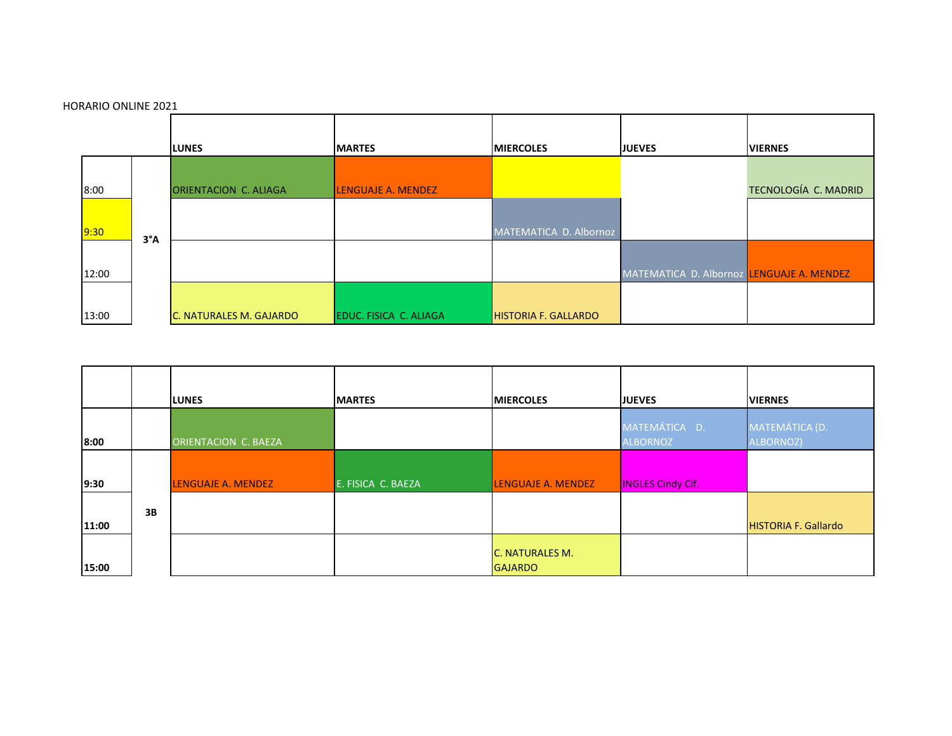

|       |    | <b>ILUNES</b>               | <b>IMARTES</b>     | <b>IMIERCOLES</b>                 | <b>JUEVES</b>                    | <b>VIERNES</b>              |
|-------|----|-----------------------------|--------------------|-----------------------------------|----------------------------------|-----------------------------|
| 8:00  |    | <b>ORIENTACION C. BAEZA</b> |                    |                                   | MATEMÁTICA D.<br><b>ALBORNOZ</b> | MATEMÁTICA (D.<br>ALBORNOZ) |
| 9:30  |    | <b>LENGUAJE A. MENDEZ</b>   | E. FISICA C. BAEZA | <b>LENGUAJE A. MENDEZ</b>         | <b>INGLES Cindy Cif.</b>         |                             |
| 11:00 | 3B |                             |                    |                                   |                                  | <b>HISTORIA F. Gallardo</b> |
| 15:00 |    |                             |                    | C. NATURALES M.<br><b>GAJARDO</b> |                                  |                             |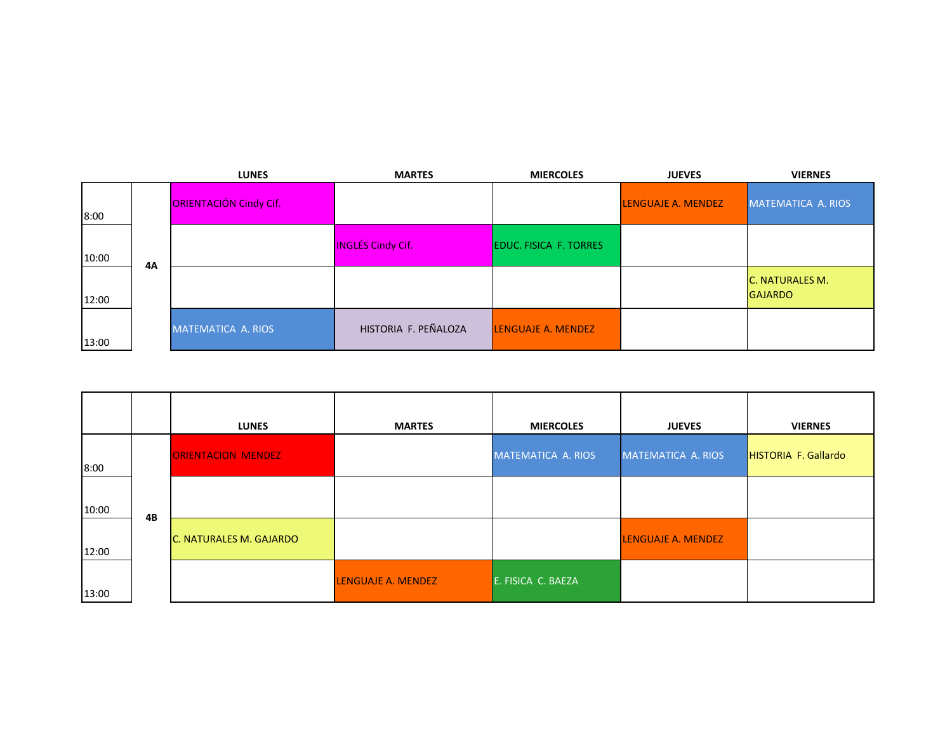|       |           | <b>LUNES</b>           | <b>MARTES</b>            | <b>MIERCOLES</b>              | <b>JUEVES</b>             | <b>VIERNES</b>                           |
|-------|-----------|------------------------|--------------------------|-------------------------------|---------------------------|------------------------------------------|
| 8:00  |           | ORIENTACIÓN Cindy Cif. |                          |                               | <b>LENGUAJE A. MENDEZ</b> | MATEMATICA A. RIOS                       |
| 10:00 | <b>4A</b> |                        | <b>INGLÉS Cindy Cif.</b> | <b>EDUC. FISICA F. TORRES</b> |                           |                                          |
| 12:00 |           |                        |                          |                               |                           | <b>C. NATURALES M.</b><br><b>GAJARDO</b> |
| 13:00 |           | MATEMATICA A. RIOS     | HISTORIA F. PEÑALOZA     | <b>LENGUAJE A. MENDEZ</b>     |                           |                                          |

|       |    | <b>LUNES</b>              | <b>MARTES</b>      | <b>MIERCOLES</b>   | <b>JUEVES</b>      | <b>VIERNES</b>              |
|-------|----|---------------------------|--------------------|--------------------|--------------------|-----------------------------|
| 8:00  |    | <b>ORIENTACION MENDEZ</b> |                    | MATEMATICA A. RIOS | MATEMATICA A. RIOS | <b>HISTORIA F. Gallardo</b> |
| 10:00 |    |                           |                    |                    |                    |                             |
| 12:00 | 4B | C. NATURALES M. GAJARDO   |                    |                    | LENGUAJE A. MENDEZ |                             |
| 13:00 |    |                           | LENGUAJE A. MENDEZ | E. FISICA C. BAEZA |                    |                             |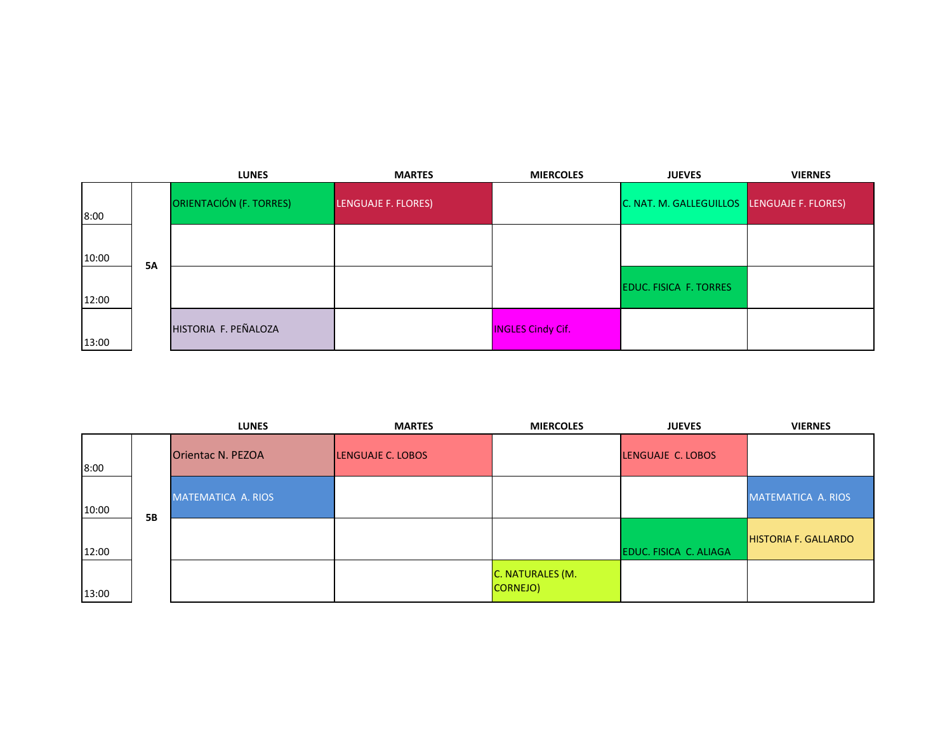|       |           | <b>LUNES</b>                   | <b>MARTES</b>       | <b>MIERCOLES</b>         | <b>JUEVES</b>                               | <b>VIERNES</b> |
|-------|-----------|--------------------------------|---------------------|--------------------------|---------------------------------------------|----------------|
| 8:00  |           | <b>ORIENTACIÓN (F. TORRES)</b> | LENGUAJE F. FLORES) |                          | C. NAT. M. GALLEGUILLOS LENGUAJE F. FLORES) |                |
| 10:00 | <b>5A</b> |                                |                     |                          |                                             |                |
| 12:00 |           |                                |                     |                          | <b>EDUC. FISICA F. TORRES</b>               |                |
| 13:00 |           | HISTORIA F. PEÑALOZA           |                     | <b>INGLES Cindy Cif.</b> |                                             |                |

|       |           | <b>LUNES</b>             | <b>MARTES</b>     | <b>MIERCOLES</b>             | <b>JUEVES</b>          | <b>VIERNES</b>              |
|-------|-----------|--------------------------|-------------------|------------------------------|------------------------|-----------------------------|
| 8:00  |           | <b>Orientac N. PEZOA</b> | LENGUAJE C. LOBOS |                              | LENGUAJE C. LOBOS      |                             |
| 10:00 | <b>5B</b> | MATEMATICA A. RIOS       |                   |                              |                        | MATEMATICA A. RIOS          |
| 12:00 |           |                          |                   |                              | EDUC. FISICA C. ALIAGA | <b>HISTORIA F. GALLARDO</b> |
| 13:00 |           |                          |                   | C. NATURALES (M.<br>CORNEJO) |                        |                             |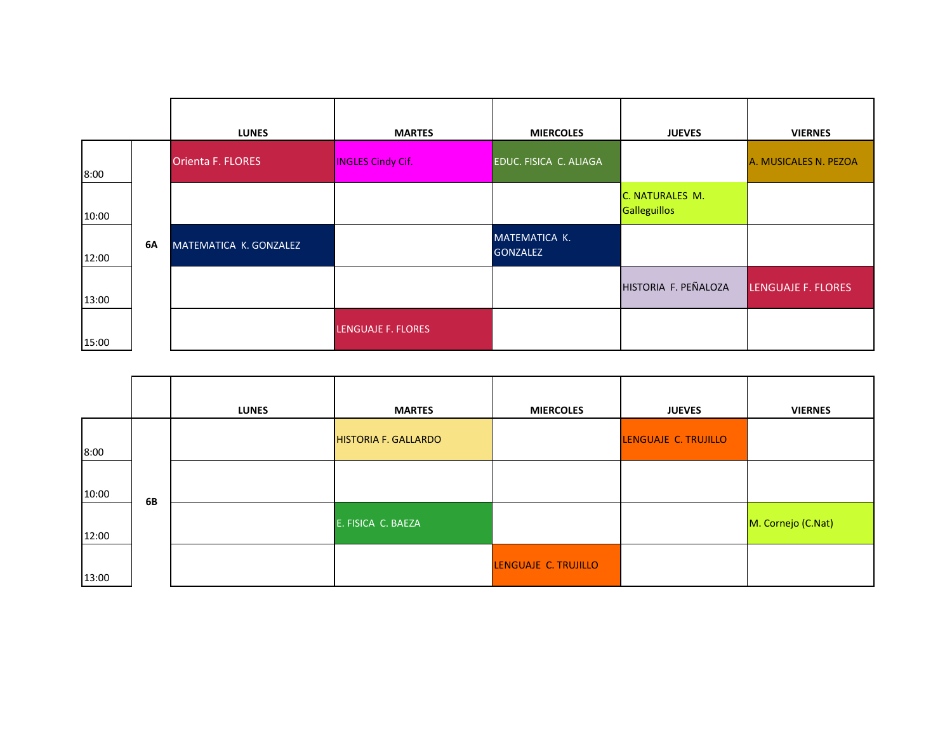|       |    | <b>LUNES</b>           | <b>MARTES</b>            | <b>MIERCOLES</b>                 | <b>JUEVES</b>                          | <b>VIERNES</b>        |
|-------|----|------------------------|--------------------------|----------------------------------|----------------------------------------|-----------------------|
| 8:00  |    | Orienta F. FLORES      | <b>INGLES Cindy Cif.</b> | EDUC. FISICA C. ALIAGA           |                                        | A. MUSICALES N. PEZOA |
| 10:00 |    |                        |                          |                                  | C. NATURALES M.<br><b>Galleguillos</b> |                       |
| 12:00 | 6A | MATEMATICA K. GONZALEZ |                          | MATEMATICA K.<br><b>GONZALEZ</b> |                                        |                       |
| 13:00 |    |                        |                          |                                  | HISTORIA F. PEÑALOZA                   | LENGUAJE F. FLORES    |
| 15:00 |    |                        | LENGUAJE F. FLORES       |                                  |                                        |                       |

|       |    | <b>LUNES</b> | <b>MARTES</b>               | <b>MIERCOLES</b>     | <b>JUEVES</b>        | <b>VIERNES</b>     |
|-------|----|--------------|-----------------------------|----------------------|----------------------|--------------------|
| 8:00  |    |              | <b>HISTORIA F. GALLARDO</b> |                      | LENGUAJE C. TRUJILLO |                    |
| 10:00 | 6B |              |                             |                      |                      |                    |
| 12:00 |    |              | E. FISICA C. BAEZA          |                      |                      | M. Cornejo (C.Nat) |
| 13:00 |    |              |                             | LENGUAJE C. TRUJILLO |                      |                    |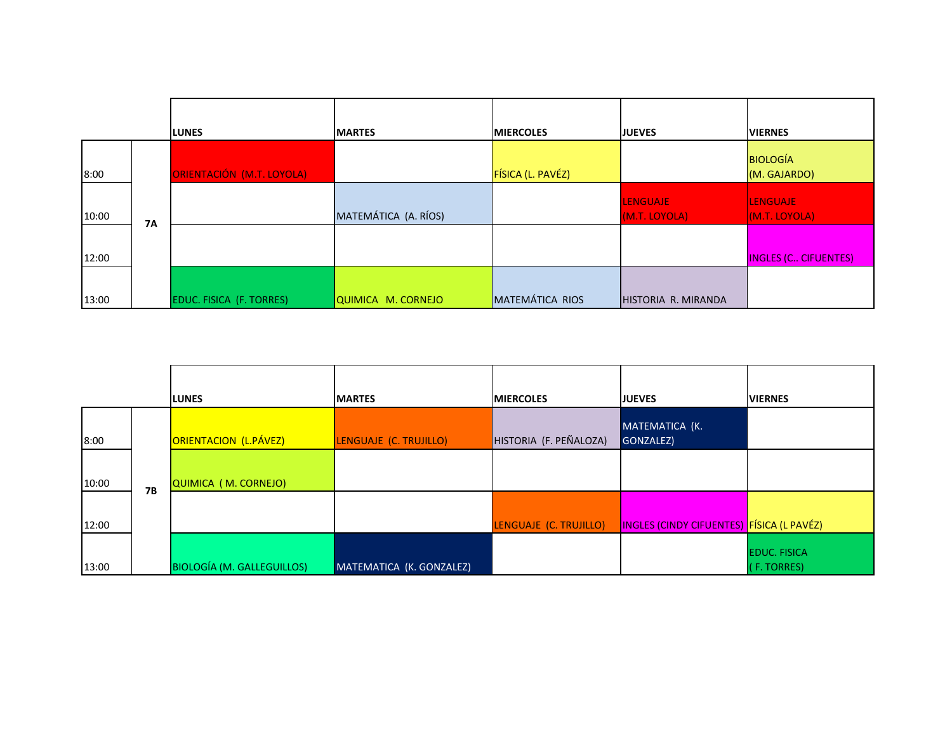|       |           |                           |                      |                        | <b>JUEVES</b>       |                                 |
|-------|-----------|---------------------------|----------------------|------------------------|---------------------|---------------------------------|
|       |           | <b>LUNES</b>              | <b>MARTES</b>        | <b>MIERCOLES</b>       |                     | <b>VIERNES</b>                  |
| 8:00  |           | ORIENTACIÓN (M.T. LOYOLA) |                      | FÍSICA (L. PAVÉZ)      |                     | <b>BIOLOGÍA</b><br>(M. GAJARDO) |
|       |           |                           |                      |                        | <b>LENGUAJE</b>     | <b>LENGUAJE</b>                 |
| 10:00 | <b>7A</b> |                           | MATEMÁTICA (A. RÍOS) |                        | (M.T. LOYOLA)       | (M.T. LOYOLA)                   |
| 12:00 |           |                           |                      |                        |                     | <b>INGLES (C CIFUENTES)</b>     |
| 13:00 |           | EDUC. FISICA (F. TORRES)  | QUIMICA M. CORNEJO   | <b>MATEMÁTICA RIOS</b> | HISTORIA R. MIRANDA |                                 |

|       |           | <b>LUNES</b>                      | <b>IMARTES</b>           | <b>IMIERCOLES</b>      | <b>JUEVES</b>                             | <b>VIERNES</b>                     |
|-------|-----------|-----------------------------------|--------------------------|------------------------|-------------------------------------------|------------------------------------|
| 8:00  |           | ORIENTACION (L.PÁVEZ)             | LENGUAJE (C. TRUJILLO)   | HISTORIA (F. PEÑALOZA) | MATEMATICA (K.<br>GONZALEZ)               |                                    |
| 10:00 | <b>7B</b> | <b>QUIMICA (M. CORNEJO)</b>       |                          |                        |                                           |                                    |
| 12:00 |           |                                   |                          | LENGUAJE (C. TRUJILLO) | INGLES (CINDY CIFUENTES) FÍSICA (L PAVÉZ) |                                    |
| 13:00 |           | <b>BIOLOGÍA (M. GALLEGUILLOS)</b> | MATEMATICA (K. GONZALEZ) |                        |                                           | <b>EDUC. FISICA</b><br>(F. TORRES) |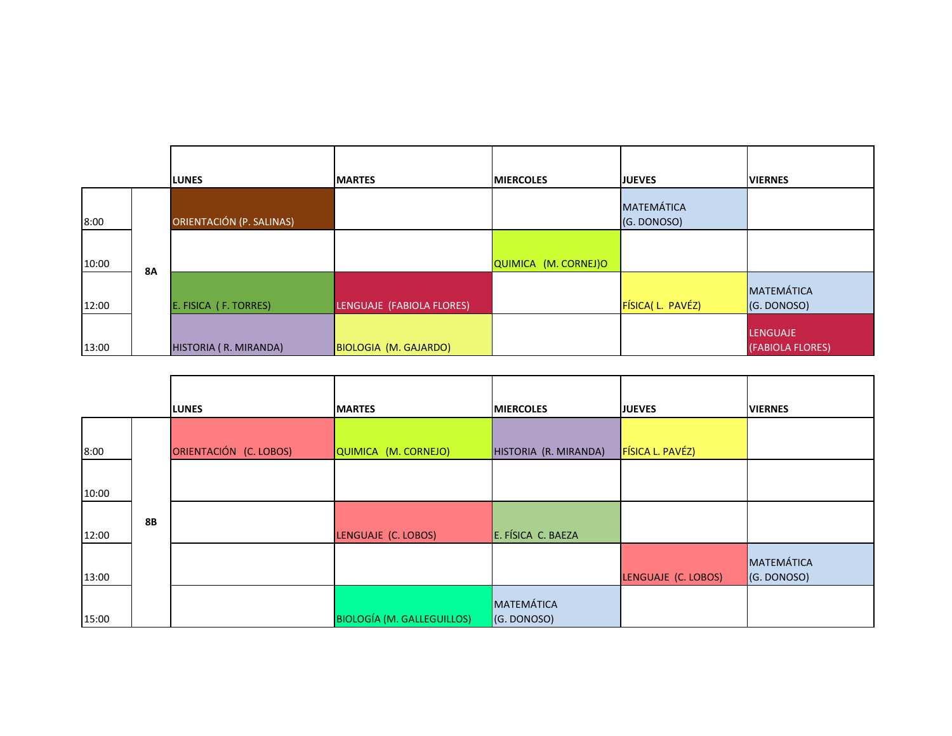|       |           | <b>LUNES</b>             | <b>IMARTES</b>            | <b>IMIERCOLES</b>    | <b>JUEVES</b>                    | <b>VIERNES</b>                      |
|-------|-----------|--------------------------|---------------------------|----------------------|----------------------------------|-------------------------------------|
| 8:00  |           | ORIENTACIÓN (P. SALINAS) |                           |                      | <b>MATEMÁTICA</b><br>(G. DONOSO) |                                     |
| 10:00 | <b>8A</b> |                          |                           | QUIMICA (M. CORNEJ)O |                                  |                                     |
| 12:00 |           | E. FISICA (F. TORRES)    | LENGUAJE (FABIOLA FLORES) |                      | FÍSICA(L. PAVÉZ)                 | MATEMÁTICA<br>(G. DONOSO)           |
| 13:00 |           | HISTORIA (R. MIRANDA)    | BIOLOGIA (M. GAJARDO)     |                      |                                  | <b>LENGUAJE</b><br>(FABIOLA FLORES) |

|       |           | <b>LUNES</b>           | <b>MARTES</b>                     | <b>MIERCOLES</b>          | <b>JUEVES</b>       | <b>VIERNES</b>            |
|-------|-----------|------------------------|-----------------------------------|---------------------------|---------------------|---------------------------|
| 8:00  |           | ORIENTACIÓN (C. LOBOS) | QUIMICA (M. CORNEJO)              | HISTORIA (R. MIRANDA)     | FÍSICA L. PAVÉZ)    |                           |
| 10:00 |           |                        |                                   |                           |                     |                           |
| 12:00 | <b>8B</b> |                        | LENGUAJE (C. LOBOS)               | E. FÍSICA C. BAEZA        |                     |                           |
| 13:00 |           |                        |                                   |                           | LENGUAJE (C. LOBOS) | MATEMÁTICA<br>(G. DONOSO) |
| 15:00 |           |                        | <b>BIOLOGÍA (M. GALLEGUILLOS)</b> | MATEMÁTICA<br>(G. DONOSO) |                     |                           |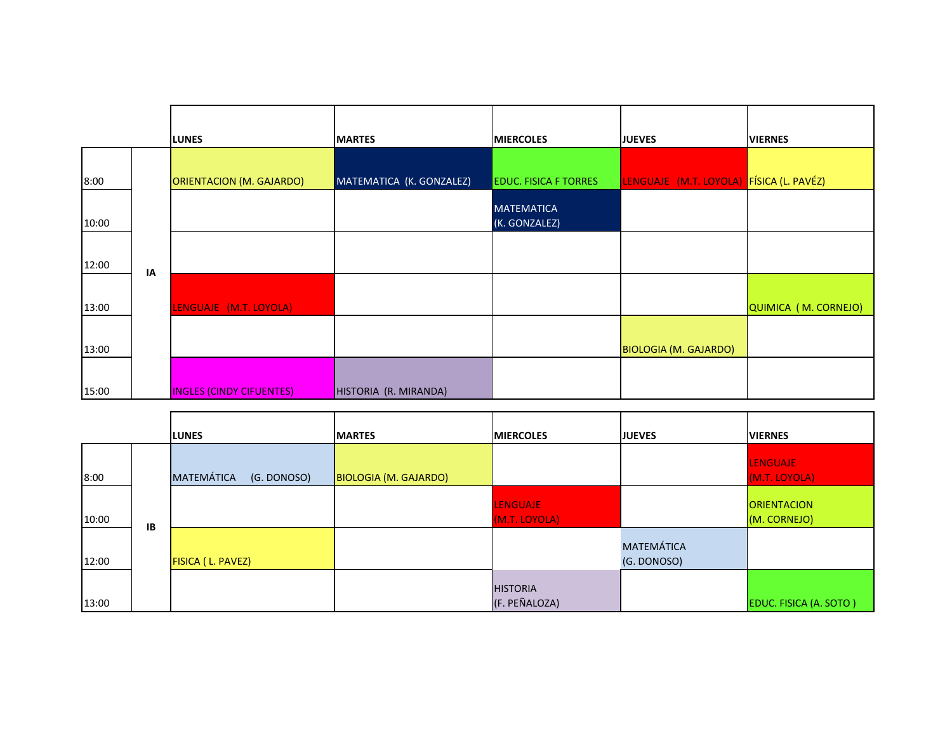|       |    | <b>LUNES</b>                    | <b>MARTES</b>            | <b>MIERCOLES</b>                   | <b>JUEVES</b>                | <b>VIERNES</b>       |
|-------|----|---------------------------------|--------------------------|------------------------------------|------------------------------|----------------------|
| 8:00  |    | <b>ORIENTACION (M. GAJARDO)</b> | MATEMATICA (K. GONZALEZ) | <b>EDUC. FISICA F TORRES</b>       | LENGUAJE (M.T. LOYOLA)       | FÍSICA (L. PAVÉZ)    |
| 10:00 |    |                                 |                          | <b>MATEMATICA</b><br>(K. GONZALEZ) |                              |                      |
| 12:00 | IA |                                 |                          |                                    |                              |                      |
| 13:00 |    | LENGUAJE (M.T. LOYOLA)          |                          |                                    |                              | QUIMICA (M. CORNEJO) |
| 13:00 |    |                                 |                          |                                    | <b>BIOLOGIA (M. GAJARDO)</b> |                      |
| 15:00 |    | <b>INGLES (CINDY CIFUENTES)</b> | HISTORIA (R. MIRANDA)    |                                    |                              |                      |

|       |    | <b>ILUNES</b>                    | <b>IMARTES</b>        | <b>IMIERCOLES</b>                | <b>JUEVES</b>                    | <b>VIERNES</b>                     |
|-------|----|----------------------------------|-----------------------|----------------------------------|----------------------------------|------------------------------------|
| 8:00  |    | <b>MATEMÁTICA</b><br>(G. DONOSO) | BIOLOGIA (M. GAJARDO) |                                  |                                  | <b>LENGUAJE</b><br>(M.T. LOYOLA)   |
| 10:00 | IB |                                  |                       | <b>LENGUAJE</b><br>(M.T. LOYOLA) |                                  | <b>ORIENTACION</b><br>(M. CORNEJO) |
| 12:00 |    | FISICA (L. PAVEZ)                |                       |                                  | <b>MATEMÁTICA</b><br>(G. DONOSO) |                                    |
| 13:00 |    |                                  |                       | <b>HISTORIA</b><br>(F. PEÑALOZA) |                                  | EDUC. FISICA (A. SOTO)             |

**F**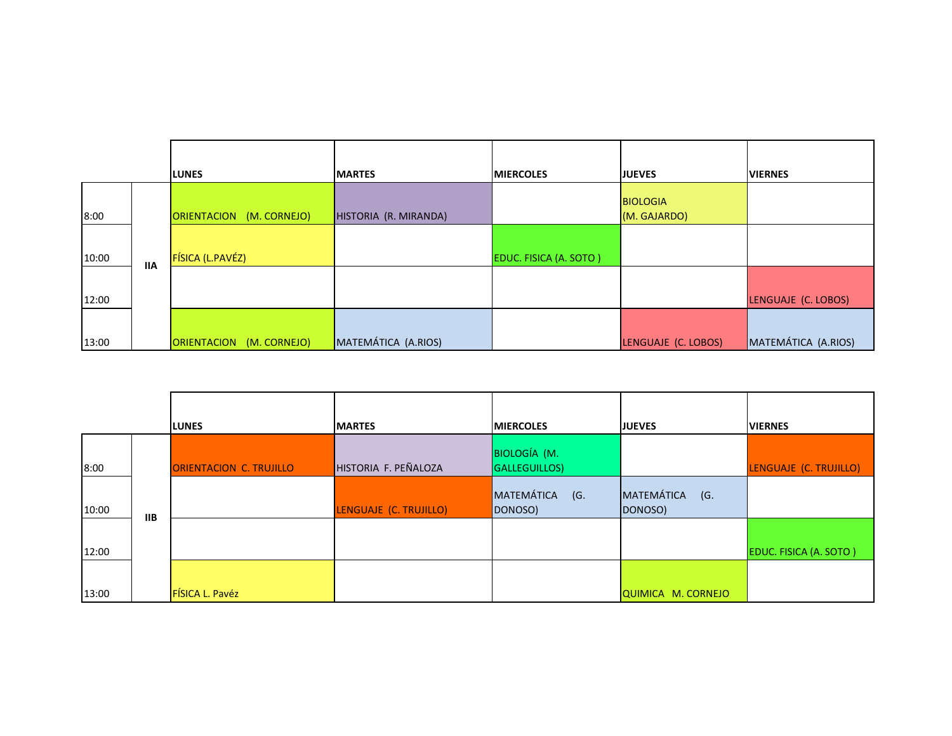|       |            | <b>LUNES</b>             | <b>MARTES</b>         | <b>IMIERCOLES</b>             | <b>JUEVES</b>                   | <b>VIERNES</b>      |
|-------|------------|--------------------------|-----------------------|-------------------------------|---------------------------------|---------------------|
| 8:00  |            | ORIENTACION (M. CORNEJO) | HISTORIA (R. MIRANDA) |                               | <b>BIOLOGIA</b><br>(M. GAJARDO) |                     |
| 10:00 | <b>IIA</b> | FÍSICA (L.PAVÉZ)         |                       | <b>EDUC. FISICA (A. SOTO)</b> |                                 |                     |
| 12:00 |            |                          |                       |                               |                                 | LENGUAJE (C. LOBOS) |
| 13:00 |            | ORIENTACION (M. CORNEJO) | MATEMÁTICA (A.RIOS)   |                               | LENGUAJE (C. LOBOS)             | MATEMÁTICA (A.RIOS) |

|       |            | <b>LUNES</b>            | <b>MARTES</b>          | <b>MIERCOLES</b>                             | <b>JUEVES</b>                | <b>VIERNES</b>         |
|-------|------------|-------------------------|------------------------|----------------------------------------------|------------------------------|------------------------|
| 8:00  |            | ORIENTACION C. TRUJILLO | HISTORIA F. PEÑALOZA   | <b>BIOLOGÍA (M.</b><br><b>GALLEGUILLOS</b> ) |                              | LENGUAJE (C. TRUJILLO) |
| 10:00 |            |                         | LENGUAJE (C. TRUJILLO) | MATEMÁTICA (G.<br>DONOSO)                    | MATEMÁTICA<br>(G.<br>DONOSO) |                        |
| 12:00 | <b>IIB</b> |                         |                        |                                              |                              | EDUC. FISICA (A. SOTO) |
| 13:00 |            | FÍSICA L. Pavéz         |                        |                                              | QUIMICA M. CORNEJO           |                        |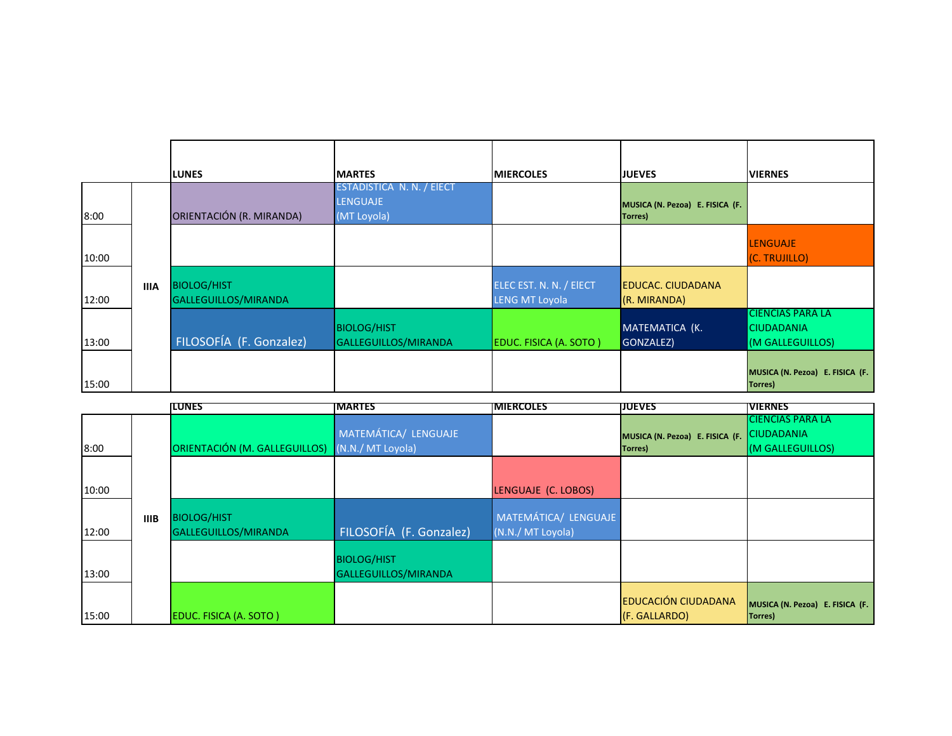|       |             | <b>LUNES</b>                               | <b>IMARTES</b>                                              | <b>IMIERCOLES</b>                                | <b>JUEVES</b>                              | <b>IVIERNES</b>                                                  |
|-------|-------------|--------------------------------------------|-------------------------------------------------------------|--------------------------------------------------|--------------------------------------------|------------------------------------------------------------------|
| 8:00  |             | ORIENTACIÓN (R. MIRANDA)                   | ESTADISTICA N. N. / EIECT<br><b>LENGUAJE</b><br>(MT Loyola) |                                                  | MUSICA (N. Pezoa) E. FISICA (F.<br>Torres) |                                                                  |
| 10:00 |             |                                            |                                                             |                                                  |                                            | <b>LENGUAJE</b><br>(C. TRUJILLO)                                 |
| 12:00 | <b>IIIA</b> | <b>BIOLOG/HIST</b><br>GALLEGUILLOS/MIRANDA |                                                             | ELEC EST. N. N. / EIECT<br><b>LENG MT Loyola</b> | <b>EDUCAC. CIUDADANA</b><br>(R. MIRANDA)   |                                                                  |
| 13:00 |             | FILOSOFÍA (F. Gonzalez)                    | <b>BIOLOG/HIST</b><br>GALLEGUILLOS/MIRANDA                  | EDUC. FISICA (A. SOTO)                           | MATEMATICA (K.<br>GONZALEZ)                | <b>CIENCIAS PARA LA</b><br><b>CIUDADANIA</b><br>(M GALLEGUILLOS) |
| 15:00 |             |                                            |                                                             |                                                  |                                            | MUSICA (N. Pezoa) E. FISICA (F.<br><b>Torres</b> )               |

|       |             | <b>ILUNES</b>                                   | <b>MARTES</b>                              | <b>IMIERCOLES</b>                         | <b>JUEVES</b>                               | <b>VIERNES</b>                                                   |
|-------|-------------|-------------------------------------------------|--------------------------------------------|-------------------------------------------|---------------------------------------------|------------------------------------------------------------------|
| 8:00  |             | ORIENTACIÓN (M. GALLEGUILLOS) (N.N./ MT Loyola) | MATEMÁTICA/ LENGUAJE                       |                                           | MUSICA (N. Pezoa) E. FISICA (F.<br>Torres)  | <b>CIENCIAS PARA LA</b><br><b>CIUDADANIA</b><br>(M GALLEGUILLOS) |
| 10:00 |             |                                                 |                                            | LENGUAJE (C. LOBOS)                       |                                             |                                                                  |
| 12:00 | <b>IIIB</b> | <b>BIOLOG/HIST</b><br>GALLEGUILLOS/MIRANDA      | FILOSOFÍA (F. Gonzalez)                    | MATEMÁTICA/ LENGUAJE<br>(N.N./ MT Loyola) |                                             |                                                                  |
| 13:00 |             |                                                 | <b>BIOLOG/HIST</b><br>GALLEGUILLOS/MIRANDA |                                           |                                             |                                                                  |
| 15:00 |             | EDUC. FISICA (A. SOTO)                          |                                            |                                           | <b>EDUCACIÓN CIUDADANA</b><br>(F. GALLARDO) | MUSICA (N. Pezoa) E. FISICA (F.<br>Torres)                       |